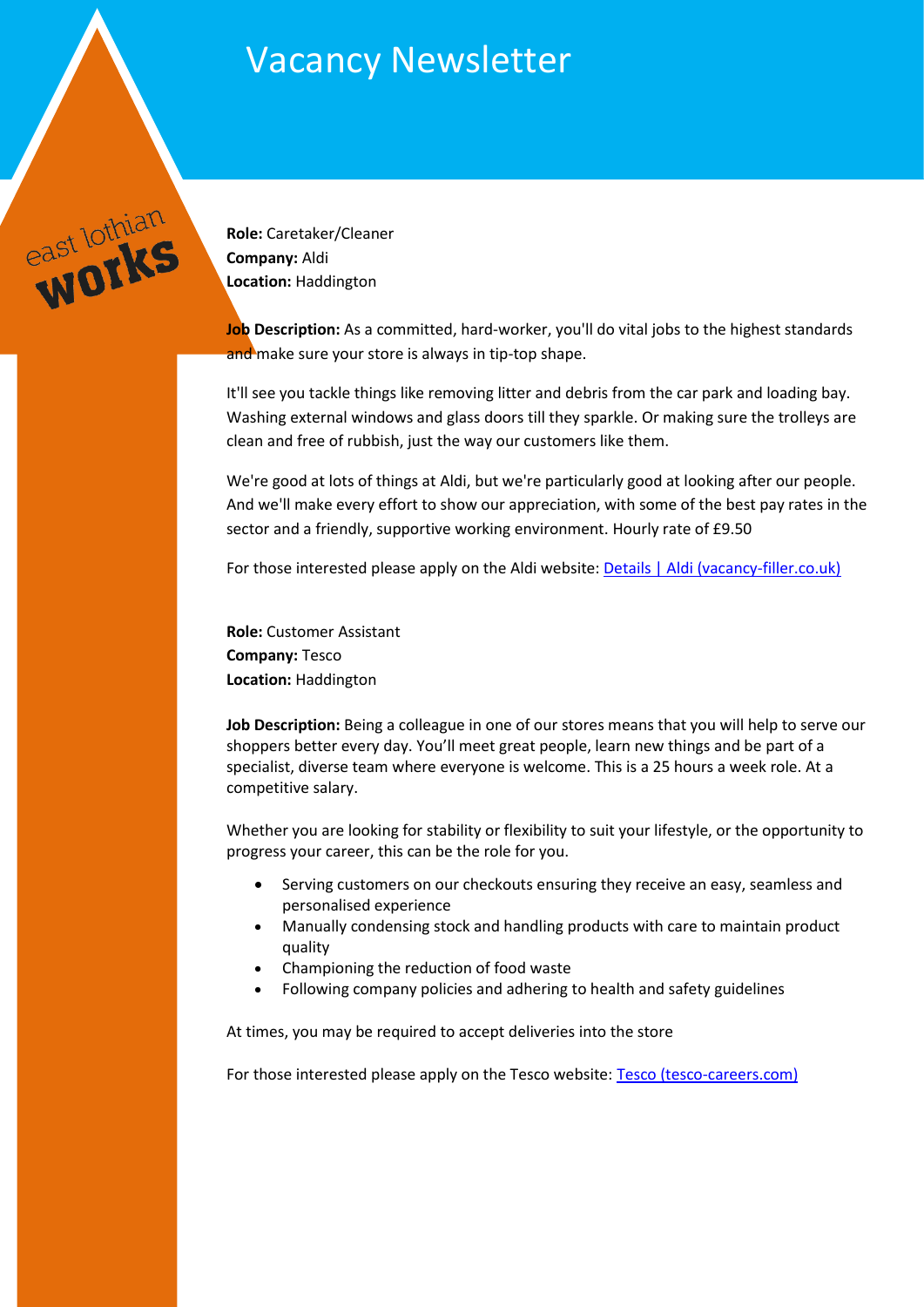## Vacancy Newsletter



**Role:** Caretaker/Cleaner **Company:** Aldi **Location:** Haddington

**Job Description:** As a committed, hard-worker, you'll do vital jobs to the highest standards and make sure your store is always in tip-top shape.

It'll see you tackle things like removing litter and debris from the car park and loading bay. Washing external windows and glass doors till they sparkle. Or making sure the trolleys are clean and free of rubbish, just the way our customers like them.

We're good at lots of things at Aldi, but we're particularly good at looking after our people. And we'll make every effort to show our appreciation, with some of the best pay rates in the sector and a friendly, supportive working environment. Hourly rate of £9.50

For those interested please apply on the Aldi website: [Details | Aldi \(vacancy-filler.co.uk\)](https://aldi.vacancy-filler.co.uk/Candidate/AdvertDetails/Od-pe8ewaSELz6NkCeJgF4JgJnJEIFZFxul2GwnErOc?utm_campaign=tmp&utm_medium=organic&utm_source=indeed.com) 

**Role:** Customer Assistant **Company:** Tesco **Location:** Haddington

**Job Description:** Being a colleague in one of our stores means that you will help to serve our shoppers better every day. You'll meet great people, learn new things and be part of a specialist, diverse team where everyone is welcome. This is a 25 hours a week role. At a competitive salary.

Whether you are looking for stability or flexibility to suit your lifestyle, or the opportunity to progress your career, this can be the role for you.

- Serving customers on our checkouts ensuring they receive an easy, seamless and personalised experience
- Manually condensing stock and handling products with care to maintain product quality
- Championing the reduction of food waste
- Following company policies and adhering to health and safety guidelines

At times, you may be required to accept deliveries into the store

For those interested please apply on the Tesco website: [Tesco \(tesco-careers.com\)](https://apply.tesco-careers.com/members/modules/job/detail.php?record=688803&utm_source=Indeed&utm_medium=organic&utm_campaign=Indeed)